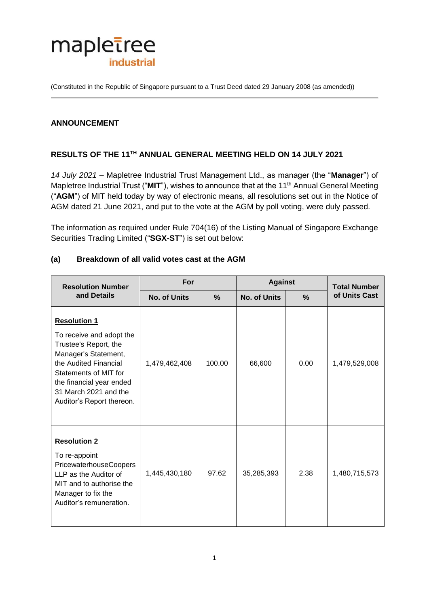

(Constituted in the Republic of Singapore pursuant to a Trust Deed dated 29 January 2008 (as amended))

### **ANNOUNCEMENT**

# **RESULTS OF THE 11 TH ANNUAL GENERAL MEETING HELD ON 14 JULY 2021**

*14 July 2021* – Mapletree Industrial Trust Management Ltd., as manager (the "**Manager**") of Mapletree Industrial Trust ("MIT"), wishes to announce that at the 11<sup>th</sup> Annual General Meeting ("**AGM**") of MIT held today by way of electronic means, all resolutions set out in the Notice of AGM dated 21 June 2021, and put to the vote at the AGM by poll voting, were duly passed.

The information as required under Rule 704(16) of the Listing Manual of Singapore Exchange Securities Trading Limited ("**SGX-ST**") is set out below:

| <b>Resolution Number</b><br>and Details                                                                                                                                                                                              | For                 |               | <b>Against</b>      |               | <b>Total Number</b> |
|--------------------------------------------------------------------------------------------------------------------------------------------------------------------------------------------------------------------------------------|---------------------|---------------|---------------------|---------------|---------------------|
|                                                                                                                                                                                                                                      | <b>No. of Units</b> | $\frac{9}{6}$ | <b>No. of Units</b> | $\frac{0}{0}$ | of Units Cast       |
| <b>Resolution 1</b><br>To receive and adopt the<br>Trustee's Report, the<br>Manager's Statement,<br>the Audited Financial<br>Statements of MIT for<br>the financial year ended<br>31 March 2021 and the<br>Auditor's Report thereon. | 1,479,462,408       | 100.00        | 66,600              | 0.00          | 1,479,529,008       |
| <b>Resolution 2</b><br>To re-appoint<br>PricewaterhouseCoopers<br>LLP as the Auditor of<br>MIT and to authorise the<br>Manager to fix the<br>Auditor's remuneration.                                                                 | 1,445,430,180       | 97.62         | 35,285,393          | 2.38          | 1,480,715,573       |

#### **(a) Breakdown of all valid votes cast at the AGM**